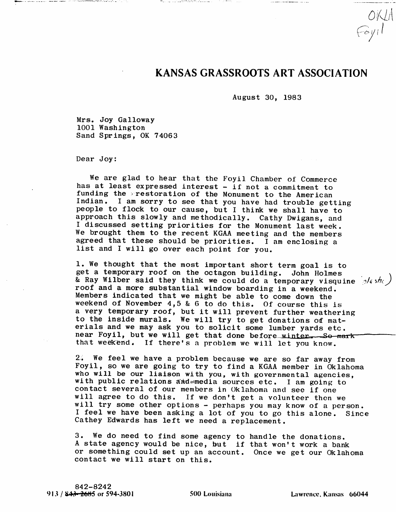## KANSAS GRASSROOTS ART ASSOCIATION

OKIA<br>Foyil

August 30, 1983

Mrs. Joy Galloway 1001 Washington Sand Springs, OK 74063

 $\mathcal{L}_{\text{max}}$ 

a de la componente de la componentación de la componentación de la componentación de la componentación de la c<br>Componentación

Dear Joy:

We are glad to hear that the Foyil Chamber of Commerce has at least expressed interest - if not a commitment to funding the restoration of the Monument to the American Indian. I am sorry to see that you have had trouble getting people to flock to our cause, but I think we shall have to approach this slowly and methodically. Cathy Dwigans, and I discussed setting priorities for the Monument last week. We brought them to the recent KGAA meeting and the members agreed that these should be priorities. I am enclosing a list and I will go over each point for you.

1. We thought that the most important short term goal is to get a temporary roof on the octagon building. John Holmes & Ray Wilber said they think we could do a temporary visquine  $\sqrt{4}\sinh\left(\sqrt{\frac{1}{2}}\right)$ roof and a more substantial window boarding in a weekend. Members indicated that we might be able to come down the weekend of November  $4,5$  & 6 to do this. Of course this is a very temporary roof, but it will prevent further weathering to the inside murals. We will try to get donations of materials and we may ask you to solicit some lumber yards etc. near Foyil, but we will get that done before winter. So mark that weekend. If there's a problem we wili let you know.

2.. We feel we have a problem because we are so far away from Foyil, so we are going to try to find a KGAA member in Oklahoma who will be our liaison with you, with governmental agencies, with public relations and mmedia sources etc. I am going to contact several of our members in Oklahoma and see if one will agree to do this. If we don't get a volunteer then we will try some other options - perhaps you may know of a person. I feel we have been asking a lot of you to go this alone. Since Cathey Edwards has left we need a replacement.

3. We do need to find some agency to handle the donations. A state agency would be nice, but if that won't work a bank or something could set up an account. Once we get our Oklahoma contact we will start on this.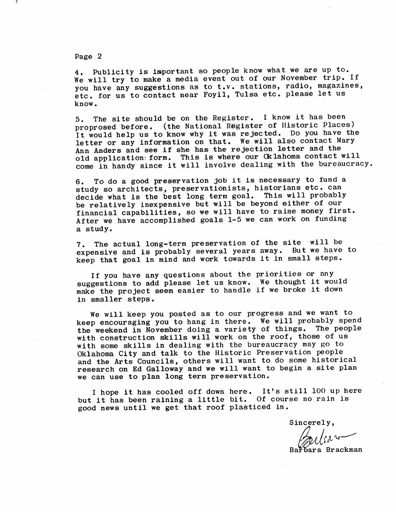Page 2

4. Publicity is important so people know what we are up to. We will try to make a media event out of our November trip. If you have any suggestions as to t.v. stations, radio, magazines, etc. for us to contact near Foyil, Tulsa etc. please let us know.

5. The site should be on the Register. I know it has been<br>proprosed before. (the National Register of Historic Places) proprosed before. (the National Register of Historic Places)<br>It would belp us to know why it was rejected. Do you have th It would help us to know why it was rejected. Do you have the letter or any information on that. We will also contact Mary<br>Ann Anders and see if she has the rejection letter and the Ann Anders and see if she has the rejection fetter and the old application: form. This is where our OKIA noma contact will come in handy since it will involve dealing with the bureaucracy.

6. To do a good preservation job it is necessary to fund a study so architects, preservationists, historians etc. can decide what is the best long term goal. This will probably be relatively inexpensive but will be beyond either of our financial capabilities, so we will have to raise money first. After we have accomplished goals 1-5 we can work on funding a study.

7. The actual long-term preservation of the site will be expensive and is probably several years away. But we have to keep that goal in mind and work towards it in small steps.

If you have any questions about the priorities or any suggestions to add please let us know. We thought it would make the project seem easier to handle if we broke it down in smaller steps.

We will keep you posted as to our progress and we want to keep encouraging you to hang in there. We will probably spend<br>the weekend in November doing a variety of things. The people the weekend in November doing a variety of things. with construction skills will work on the roof, those of us with some skills in dealing with the bureaucracy may go to Oklahoma City and talk to the Historic Preservation people and the Arts Councils, others will want to do some historical research on Ed Galloway and we will want to begin a site plan we can use to plan long term preservation.

I hope it has cooled off down here. It's still 100 up here but it has been raining a little bit. Of course no rain is good news until we get that roof plasticed in.

Sincerely,

Rara Brackman